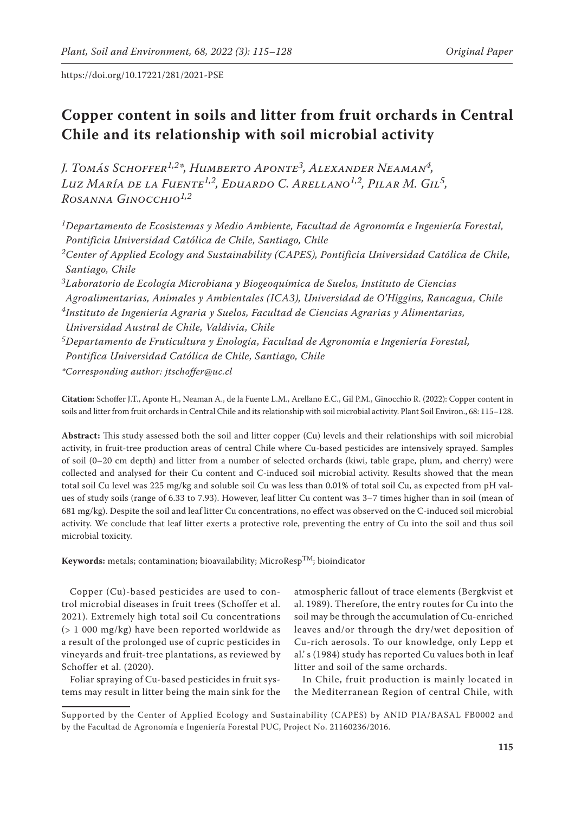# **Copper content in soils and litter from fruit orchards in Central Chile and its relationship with soil microbial activity**

*J. Tomás Schoffer1,2\*, Humberto Aponte3, Alexander Neaman4, Luz María de la Fuente1,2, Eduardo C. Arellano1,2, Pilar M. Gil5, Rosanna Ginocchio1,2*

*1Departamento de Ecosistemas y Medio Ambiente, Facultad de Agronomía e Ingeniería Forestal, Pontificia Universidad Católica de Chile, Santiago, Chile 2Center of Applied Ecology and Sustainability (CAPES), Pontificia Universidad Católica de Chile, Santiago, Chile 3Laboratorio de Ecología Microbiana y Biogeoquímica de Suelos, Instituto de Ciencias Agroalimentarias, Animales y Ambientales (ICA3), Universidad de O'Higgins, Rancagua, Chile*

*4Instituto de Ingeniería Agraria y Suelos, Facultad de Ciencias Agrarias y Alimentarias,* 

*Universidad Austral de Chile, Valdivia, Chile*

*5Departamento de Fruticultura y Enología, Facultad de Agronomía e Ingeniería Forestal, Pontifica Universidad Católica de Chile, Santiago, Chile*

*\*Corresponding author: jtschoffer@uc.cl*

**Citation:** Schoffer J.T., Aponte H., Neaman A., de la Fuente L.M., Arellano E.C., Gil P.M., Ginocchio R. (2022): Copper content in soils and litter from fruit orchards in Central Chile and its relationship with soil microbial activity. Plant Soil Environ., 68: 115–128.

**Abstract:** This study assessed both the soil and litter copper (Cu) levels and their relationships with soil microbial activity, in fruit-tree production areas of central Chile where Cu-based pesticides are intensively sprayed. Samples of soil (0–20 cm depth) and litter from a number of selected orchards (kiwi, table grape, plum, and cherry) were collected and analysed for their Cu content and C-induced soil microbial activity. Results showed that the mean total soil Cu level was 225 mg/kg and soluble soil Cu was less than 0.01% of total soil Cu, as expected from pH values of study soils (range of 6.33 to 7.93). However, leaf litter Cu content was 3–7 times higher than in soil (mean of 681 mg/kg). Despite the soil and leaf litter Cu concentrations, no effect was observed on the C-induced soil microbial activity. We conclude that leaf litter exerts a protective role, preventing the entry of Cu into the soil and thus soil microbial toxicity.

**Keywords:** metals; contamination; bioavailability; MicroResp<sup>TM</sup>; bioindicator

Copper (Cu)-based pesticides are used to control microbial diseases in fruit trees (Schoffer et al. 2021). Extremely high total soil Cu concentrations (> 1 000 mg/kg) have been reported worldwide as a result of the prolonged use of cupric pesticides in vineyards and fruit-tree plantations, as reviewed by Schoffer et al. (2020).

Foliar spraying of Cu-based pesticides in fruit systems may result in litter being the main sink for the atmospheric fallout of trace elements (Bergkvist et al. 1989). Therefore, the entry routes for Cu into the soil may be through the accumulation of Cu-enriched leaves and/or through the dry/wet deposition of Cu-rich aerosols. To our knowledge, only Lepp et al.' s (1984) study has reported Cu values both in leaf litter and soil of the same orchards.

In Chile, fruit production is mainly located in the Mediterranean Region of central Chile, with

Supported by the Center of Applied Ecology and Sustainability (CAPES) by ANID PIA/BASAL FB0002 and by the Facultad de Agronomía e Ingeniería Forestal PUC, Project No. 21160236/2016.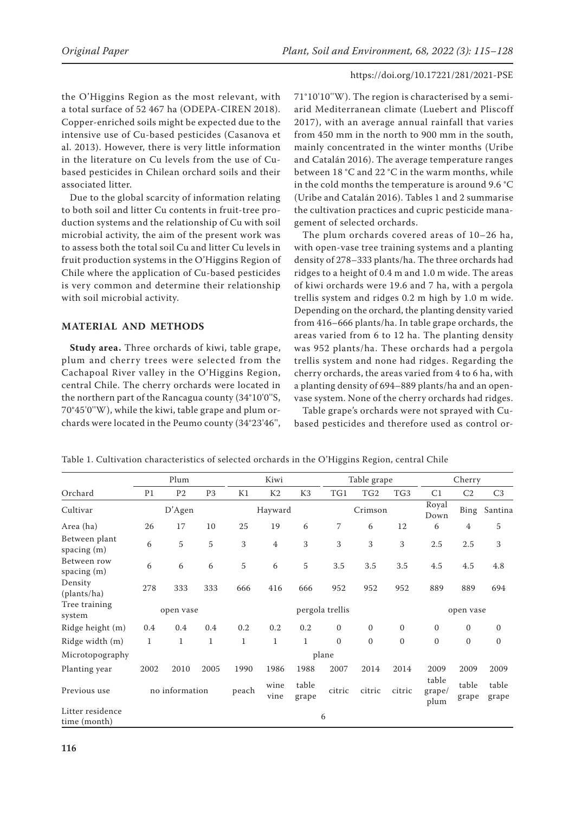the O'Higgins Region as the most relevant, with a total surface of 52 467 ha (ODEPA-CIREN 2018). Copper-enriched soils might be expected due to the intensive use of Cu-based pesticides (Casanova et al. 2013). However, there is very little information in the literature on Cu levels from the use of Cubased pesticides in Chilean orchard soils and their associated litter.

Due to the global scarcity of information relating to both soil and litter Cu contents in fruit-tree production systems and the relationship of Cu with soil microbial activity, the aim of the present work was to assess both the total soil Cu and litter Cu levels in fruit production systems in the O'Higgins Region of Chile where the application of Cu-based pesticides is very common and determine their relationship with soil microbial activity.

### **MATERIAL AND METHODS**

**Study area.** Three orchards of kiwi, table grape, plum and cherry trees were selected from the Cachapoal River valley in the O'Higgins Region, central Chile. The cherry orchards were located in the northern part of the Rancagua county (34°10'0''S, 70°45'0''W), while the kiwi, table grape and plum orchards were located in the Peumo county (34°23'46'',

71°10'10''W). The region is characterised by a semiarid Mediterranean climate (Luebert and Pliscoff 2017), with an average annual rainfall that varies from 450 mm in the north to 900 mm in the south, mainly concentrated in the winter months (Uribe and Catalán 2016). The average temperature ranges between 18 °C and 22 °C in the warm months, while in the cold months the temperature is around 9.6 °C (Uribe and Catalán 2016). Tables 1 and 2 summarise the cultivation practices and cupric pesticide management of selected orchards.

The plum orchards covered areas of 10–26 ha, with open-vase tree training systems and a planting density of 278–333 plants/ha. The three orchards had ridges to a height of 0.4 m and 1.0 m wide. The areas of kiwi orchards were 19.6 and 7 ha, with a pergola trellis system and ridges 0.2 m high by 1.0 m wide. Depending on the orchard, the planting density varied from 416–666 plants/ha. In table grape orchards, the areas varied from 6 to 12 ha. The planting density was 952 plants/ha. These orchards had a pergola trellis system and none had ridges. Regarding the cherry orchards, the areas varied from 4 to 6 ha, with a planting density of 694–889 plants/ha and an openvase system. None of the cherry orchards had ridges.

Table grape's orchards were not sprayed with Cubased pesticides and therefore used as control or-

|                                  | Plum         |                |                | Kiwi            |                |                | Table grape  |                  | Cherry          |                         |                |                |
|----------------------------------|--------------|----------------|----------------|-----------------|----------------|----------------|--------------|------------------|-----------------|-------------------------|----------------|----------------|
| Orchard                          | P1           | P <sub>2</sub> | P <sub>3</sub> | K1              | K <sub>2</sub> | K <sub>3</sub> | TG1          | TG2              | TG <sub>3</sub> | C1                      | C2             | C <sub>3</sub> |
| Cultivar                         |              | D'Agen         |                |                 | Hayward        |                |              | Crimson          |                 | Royal<br>Down           | Bing           | Santina        |
| Area (ha)                        | 26           | 17             | 10             | 25              | 19             | 6              | 7            | 6                | 12              | 6                       | $\overline{4}$ | 5              |
| Between plant<br>spacing $(m)$   | 6            | 5              | $\sqrt{5}$     | 3               | $\overline{4}$ | 3              | 3            | 3                | 3               | 2.5                     | 2.5            | 3              |
| Between row<br>spacing (m)       | 6            | 6              | 6              | 5               | 6              | 5              | 3.5          | 3.5              | 3.5             | 4.5                     | 4.5            | 4.8            |
| Density<br>(plants/ha)           | 278          | 333            | 333            | 666             | 416            | 666            | 952          | 952              | 952             | 889                     | 889            | 694            |
| Tree training<br>system          | open vase    |                |                | pergola trellis |                |                |              |                  |                 |                         | open vase      |                |
| Ridge height (m)                 | 0.4          | 0.4            | 0.4            | 0.2             | 0.2            | 0.2            | $\mathbf{0}$ | $\boldsymbol{0}$ | $\mathbf{0}$    | $\mathbf{0}$            | $\mathbf{0}$   | $\mathbf{0}$   |
| Ridge width (m)                  | $\mathbf{1}$ | $\mathbf{1}$   | $\mathbf{1}$   | $\mathbf 1$     | $\mathbf{1}$   | $\mathbf{1}$   | $\mathbf{0}$ | $\boldsymbol{0}$ | $\mathbf{0}$    | $\boldsymbol{0}$        | $\mathbf{0}$   | $\mathbf{0}$   |
| Microtopography                  |              |                |                |                 |                |                | plane        |                  |                 |                         |                |                |
| Planting year                    | 2002         | 2010           | 2005           | 1990            | 1986           | 1988           | 2007         | 2014             | 2014            | 2009                    | 2009           | 2009           |
| Previous use                     |              | no information |                | peach           | wine<br>vine   | table<br>grape | citric       | citric           | citric          | table<br>grape/<br>plum | table<br>grape | table<br>grape |
| Litter residence<br>time (month) | 6            |                |                |                 |                |                |              |                  |                 |                         |                |                |

Table 1. Cultivation characteristics of selected orchards in the O'Higgins Region, central Chile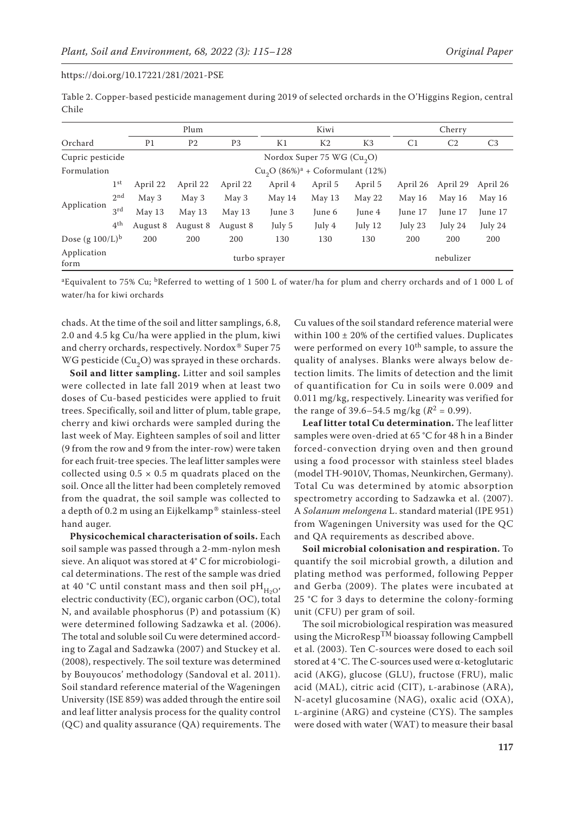Table 2. Copper-based pesticide management during 2019 of selected orchards in the O'Higgins Region, central Chile

|                     |                 |                | Plum                                |                              |           | Kiwi           |                |                | Cherry         |                |
|---------------------|-----------------|----------------|-------------------------------------|------------------------------|-----------|----------------|----------------|----------------|----------------|----------------|
| Orchard             |                 | P <sub>1</sub> | P <sub>2</sub>                      | P <sub>3</sub>               | K1        | K <sub>2</sub> | K <sub>3</sub> | C <sub>1</sub> | C <sub>2</sub> | C <sub>3</sub> |
| Cupric pesticide    |                 |                |                                     | Nordox Super 75 WG $(Cu, O)$ |           |                |                |                |                |                |
| Formulation         |                 |                | $Cu_2O(86\%)^a + Coformulant(12\%)$ |                              |           |                |                |                |                |                |
|                     | $1^{\rm st}$    | April 22       | April 22                            | April 22                     | April 4   | April 5        | April 5        | April 26       | April 29       | April 26       |
|                     | 2 <sub>nd</sub> | May 3          | May 3                               | May 3                        | May $14$  | May 13         | May 22         | May 16         | May 16         | May $16$       |
| Application         | 3 <sup>rd</sup> | May 13         | May 13                              | May 13                       | June 3    | June 6         | June 4         | June 17        | June 17        | June 17        |
|                     | 4 <sup>th</sup> | August 8       | August 8                            | August 8                     | July 5    | July 4         | July 12        | July 23        | July 24        | July 24        |
| Dose $(g 100/L)^b$  |                 | 200            | 200                                 | 200                          | 130       | 130            | 130            | 200            | 200            | 200            |
| Application<br>form |                 | turbo sprayer  |                                     |                              | nebulizer |                |                |                |                |                |

<sup>a</sup>Equivalent to 75% Cu; <sup>b</sup>Referred to wetting of 1 500 L of water/ha for plum and cherry orchards and of 1 000 L of water/ha for kiwi orchards

chads. At the time of the soil and litter samplings, 6.8, 2.0 and 4.5 kg Cu/ha were applied in the plum, kiwi and cherry orchards, respectively. Nordox® Super 75 WG pesticide  $(Cu_2O)$  was sprayed in these orchards.

**Soil and litter sampling.** Litter and soil samples were collected in late fall 2019 when at least two doses of Cu-based pesticides were applied to fruit trees. Specifically, soil and litter of plum, table grape, cherry and kiwi orchards were sampled during the last week of May. Eighteen samples of soil and litter (9 from the row and 9 from the inter-row) were taken for each fruit-tree species. The leaf litter samples were collected using  $0.5 \times 0.5$  m quadrats placed on the soil. Once all the litter had been completely removed from the quadrat, the soil sample was collected to a depth of 0.2 m using an Eijkelkamp® stainless-steel hand auger.

**Physicochemical characterisation of soils.** Each soil sample was passed through a 2-mm-nylon mesh sieve. An aliquot was stored at 4° C for microbiological determinations. The rest of the sample was dried at 40 °C until constant mass and then soil  $pH_{H_1O}$ , electric conductivity (EC), organic carbon (OC), total N, and available phosphorus (P) and potassium (K) were determined following Sadzawka et al. (2006). The total and soluble soil Cu were determined according to Zagal and Sadzawka (2007) and Stuckey et al. (2008), respectively. The soil texture was determined by Bouyoucos' methodology (Sandoval et al. 2011). Soil standard reference material of the Wageningen University (ISE 859) was added through the entire soil and leaf litter analysis process for the quality control (QC) and quality assurance (QA) requirements. The

Cu values of the soil standard reference material were within 100 ± 20% of the certified values. Duplicates were performed on every  $10^{th}$  sample, to assure the quality of analyses. Blanks were always below detection limits. The limits of detection and the limit of quantification for Cu in soils were 0.009 and 0.011 mg/kg, respectively. Linearity was verified for the range of 39.6–54.5 mg/kg ( $R^2$  = 0.99).

**Leaf litter total Cu determination.** The leaf litter samples were oven-dried at 65 °C for 48 h in a Binder forced-convection drying oven and then ground using a food processor with stainless steel blades (model TH-9010V, Thomas, Neunkirchen, Germany). Total Cu was determined by atomic absorption spectrometry according to Sadzawka et al. (2007). A *Solanum melongena* L. standard material (IPE 951) from Wageningen University was used for the QC and QA requirements as described above.

**Soil microbial colonisation and respiration.** To quantify the soil microbial growth, a dilution and plating method was performed, following Pepper and Gerba (2009). The plates were incubated at 25 °C for 3 days to determine the colony-forming unit (CFU) per gram of soil.

The soil microbiological respiration was measured using the MicroResp<sup>TM</sup> bioassay following Campbell et al. (2003). Ten C-sources were dosed to each soil stored at 4 °C. The C-sources used were α-ketoglutaric acid (AKG), glucose (GLU), fructose (FRU), malic acid (MAL), citric acid (CIT), L-arabinose (ARA), N-acetyl glucosamine (NAG), oxalic acid (OXA), l-arginine (ARG) and cysteine (CYS). The samples were dosed with water (WAT) to measure their basal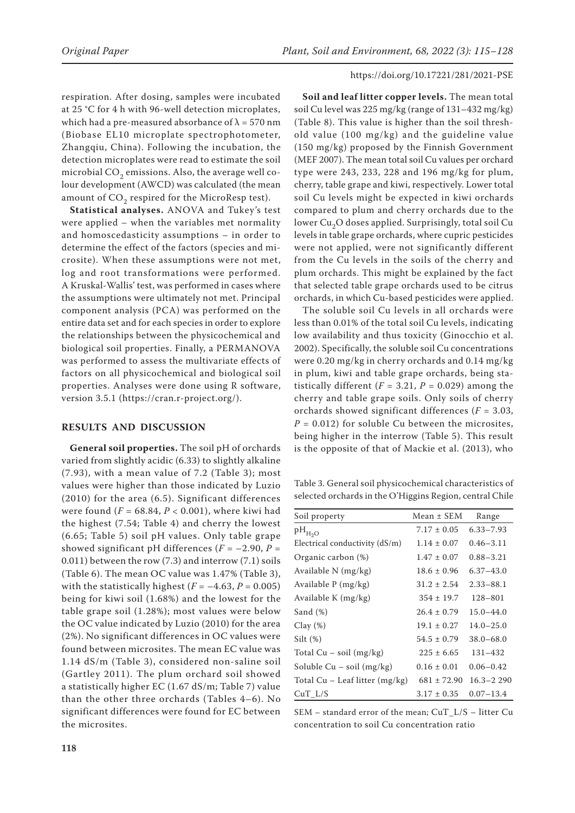respiration. After dosing, samples were incubated at 25 °C for 4 h with 96-well detection microplates, which had a pre-measured absorbance of  $\lambda = 570$  nm (Biobase EL10 microplate spectrophotometer, Zhangqiu, China). Following the incubation, the detection microplates were read to estimate the soil microbial  $CO<sub>2</sub>$  emissions. Also, the average well colour development (AWCD) was calculated (the mean amount of  $CO<sub>2</sub>$  respired for the MicroResp test).

**Statistical analyses.** ANOVA and Tukey's test were applied – when the variables met normality and homoscedasticity assumptions – in order to determine the effect of the factors (species and microsite). When these assumptions were not met, log and root transformations were performed. A Kruskal-Wallis' test, was performed in cases where the assumptions were ultimately not met. Principal component analysis (PCA) was performed on the entire data set and for each species in order to explore the relationships between the physicochemical and biological soil properties. Finally, a PERMANOVA was performed to assess the multivariate effects of factors on all physicochemical and biological soil properties. Analyses were done using R software, version 3.5.1 (https://cran.r-project.org/).

### **RESULTS AND DISCUSSION**

**General soil properties.** The soil pH of orchards varied from slightly acidic (6.33) to slightly alkaline (7.93), with a mean value of 7.2 (Table 3); most values were higher than those indicated by Luzio (2010) for the area (6.5). Significant differences were found (*F =* 68.84, *P* < 0.001), where kiwi had the highest (7.54; Table 4) and cherry the lowest (6.65; Table 5) soil pH values. Only table grape showed significant pH differences  $(F = -2.90, P =$ 0.011) between the row (7.3) and interrow (7.1) soils (Table 6). The mean OC value was 1.47% (Table 3), with the statistically highest  $(F = -4.63, P = 0.005)$ being for kiwi soil (1.68%) and the lowest for the table grape soil (1.28%); most values were below the OC value indicated by Luzio (2010) for the area (2%). No significant differences in OC values were found between microsites. The mean EC value was 1.14 dS/m (Table 3), considered non-saline soil (Gartley 2011). The plum orchard soil showed a statistically higher EC (1.67 dS/m; Table 7) value than the other three orchards (Tables 4–6). No significant differences were found for EC between the microsites.

**Soil and leaf litter copper levels.** The mean total soil Cu level was 225 mg/kg (range of 131–432 mg/kg) (Table 8). This value is higher than the soil threshold value (100 mg/kg) and the guideline value (150 mg/kg) proposed by the Finnish Government (MEF 2007). The mean total soil Cu values per orchard type were 243, 233, 228 and 196 mg/kg for plum, cherry, table grape and kiwi, respectively. Lower total soil Cu levels might be expected in kiwi orchards compared to plum and cherry orchards due to the lower Cu<sub>2</sub>O doses applied. Surprisingly, total soil Cu levels in table grape orchards, where cupric pesticides were not applied, were not significantly different from the Cu levels in the soils of the cherry and plum orchards. This might be explained by the fact that selected table grape orchards used to be citrus orchards, in which Cu-based pesticides were applied.

The soluble soil Cu levels in all orchards were less than 0.01% of the total soil Cu levels, indicating low availability and thus toxicity (Ginocchio et al. 2002). Specifically, the soluble soil Cu concentrations were 0.20 mg/kg in cherry orchards and 0.14 mg/kg in plum, kiwi and table grape orchards, being statistically different  $(F = 3.21, P = 0.029)$  among the cherry and table grape soils. Only soils of cherry orchards showed significant differences (*F =* 3.03, *P =* 0.012) for soluble Cu between the microsites, being higher in the interrow (Table 5). This result is the opposite of that of Mackie et al. (2013), who

Table 3. General soil physicochemical characteristics of selected orchards in the O'Higgins Region, central Chile

| Soil property                      | Mean $\pm$ SEM  | Range         |
|------------------------------------|-----------------|---------------|
| $pH_{H_2O}$                        | $7.17 \pm 0.05$ | $6.33 - 7.93$ |
| Electrical conductivity $(dS/m)$   | $1.14 \pm 0.07$ | $0.46 - 3.11$ |
| Organic carbon (%)                 | $1.47 \pm 0.07$ | $0.88 - 3.21$ |
| Available N (mg/kg)                | $18.6 \pm 0.96$ | $6.37 - 43.0$ |
| Available P (mg/kg)                | $31.2 \pm 2.54$ | $2.33 - 88.1$ |
| Available K (mg/kg)                | $354 \pm 19.7$  | $128 - 801$   |
| Sand $(\%)$                        | $26.4 \pm 0.79$ | $15.0 - 44.0$ |
| $Clay(\%)$                         | $19.1 \pm 0.27$ | $14.0 - 25.0$ |
| Silt $(\%)$                        | $54.5 \pm 0.79$ | $38.0 - 68.0$ |
| Total $Cu - soil (mg/kg)$          | $225 \pm 6.65$  | 131-432       |
| Soluble $Cu - soil (mg/kg)$        | $0.16 \pm 0.01$ | $0.06 - 0.42$ |
| Total $Cu -$ Leaf litter $(mg/kg)$ | $681 \pm 72.90$ | $16.3 - 2290$ |
| $CuT_L/S$                          | $3.17 \pm 0.35$ | $0.07 - 13.4$ |

SEM – standard error of the mean; CuT\_L/S – litter Cu concentration to soil Cu concentration ratio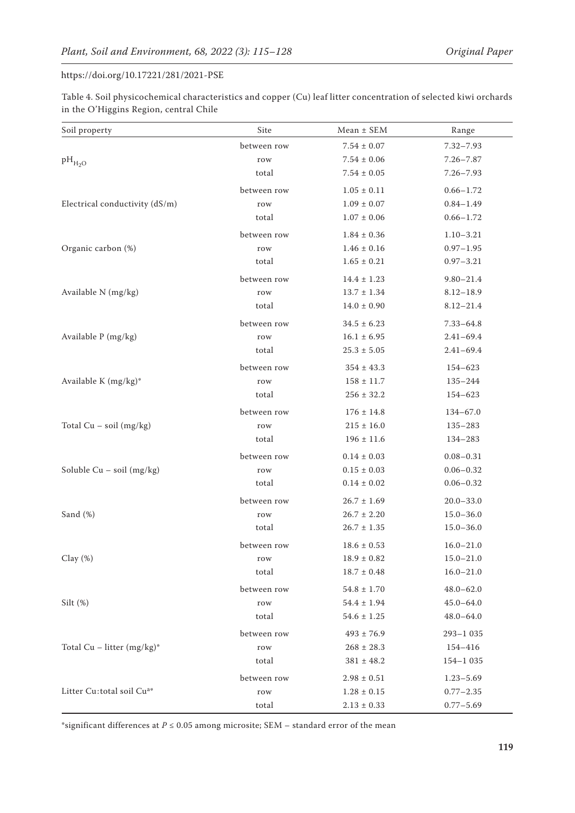Table 4. Soil physicochemical characteristics and copper (Cu) leaf litter concentration of selected kiwi orchards in the O'Higgins Region, central Chile

| Soil property                         | Site        | $Mean \pm SEM$      | Range         |
|---------------------------------------|-------------|---------------------|---------------|
|                                       | between row | $7.54 \pm 0.07$     | $7.32 - 7.93$ |
| $pH_{H_2O}$                           | row         | $7.54 \pm 0.06$     | $7.26 - 7.87$ |
|                                       | total       | $7.54 \pm 0.05$     | $7.26 - 7.93$ |
|                                       | between row | $1.05 \pm 0.11$     | $0.66 - 1.72$ |
| Electrical conductivity (dS/m)        | row         | $1.09 \pm 0.07$     | $0.84 - 1.49$ |
|                                       | total       | $1.07 \pm 0.06$     | $0.66 - 1.72$ |
|                                       | between row | $1.84 \pm 0.36$     | $1.10 - 3.21$ |
| Organic carbon (%)                    | row         | $1.46 \pm 0.16$     | $0.97 - 1.95$ |
|                                       | total       | $1.65 \pm 0.21$     | $0.97 - 3.21$ |
|                                       | between row | $14.4 \pm 1.23$     | $9.80 - 21.4$ |
| Available $N$ (mg/kg)                 | row         | $13.7 \pm 1.34$     | $8.12 - 18.9$ |
|                                       | total       | $14.0\pm0.90$       | $8.12 - 21.4$ |
|                                       | between row | $34.5 \pm 6.23$     | $7.33 - 64.8$ |
| Available P (mg/kg)                   | row         | $16.1 \pm 6.95$     | $2.41 - 69.4$ |
|                                       | total       | $25.3$ $\pm$ $5.05$ | $2.41 - 69.4$ |
|                                       | between row | $354 \pm 43.3$      | 154-623       |
| Available K (mg/kg)*                  | row         | $158 \pm 11.7$      | 135-244       |
|                                       | total       | $256 \pm 32.2$      | 154-623       |
|                                       | between row | $176 \pm 14.8$      | $134 - 67.0$  |
| Total $Cu - soil (mg/kg)$             | row         | $215 \pm 16.0$      | 135-283       |
|                                       | total       | $196 \pm 11.6$      | 134-283       |
|                                       | between row | $0.14 \pm 0.03$     | $0.08 - 0.31$ |
| Soluble $Cu - soil (mg/kg)$           | row         | $0.15 \pm 0.03$     | $0.06 - 0.32$ |
|                                       | total       | $0.14 \pm 0.02$     | $0.06 - 0.32$ |
|                                       | between row | $26.7 \pm 1.69$     | $20.0 - 33.0$ |
| Sand (%)                              | row         | $26.7 \pm 2.20$     | $15.0 - 36.0$ |
|                                       | total       | $26.7 \pm 1.35$     | $15.0 - 36.0$ |
|                                       | between row | $18.6 \pm 0.53$     | $16.0 - 21.0$ |
| Clay $(\%)$                           | row         | $18.9\pm0.82$       | $15.0 - 21.0$ |
|                                       | total       | $18.7 \pm 0.48$     | $16.0 - 21.0$ |
|                                       | between row | $54.8 \pm 1.70$     | $48.0 - 62.0$ |
| Silt $(\%)$                           | row         | $54.4 \pm 1.94$     | $45.0 - 64.0$ |
|                                       | total       | $54.6 \pm 1.25$     | $48.0 - 64.0$ |
|                                       | between row | $493 \pm 76.9$      | 293-1 035     |
| Total Cu - litter $(mg/kg)^*$         | row         | $268 \pm 28.3$      | 154-416       |
|                                       | total       | $381 \pm 48.2$      | $154 - 1035$  |
|                                       | between row | $2.98 \pm 0.51$     | $1.23 - 5.69$ |
| Litter Cu:total soil Cu <sup>a*</sup> | row         | $1.28 \pm 0.15$     | $0.77 - 2.35$ |
|                                       | total       | $2.13 \pm 0.33$     | $0.77 - 5.69$ |

\*significant differences at  $P \le 0.05$  among microsite; SEM – standard error of the mean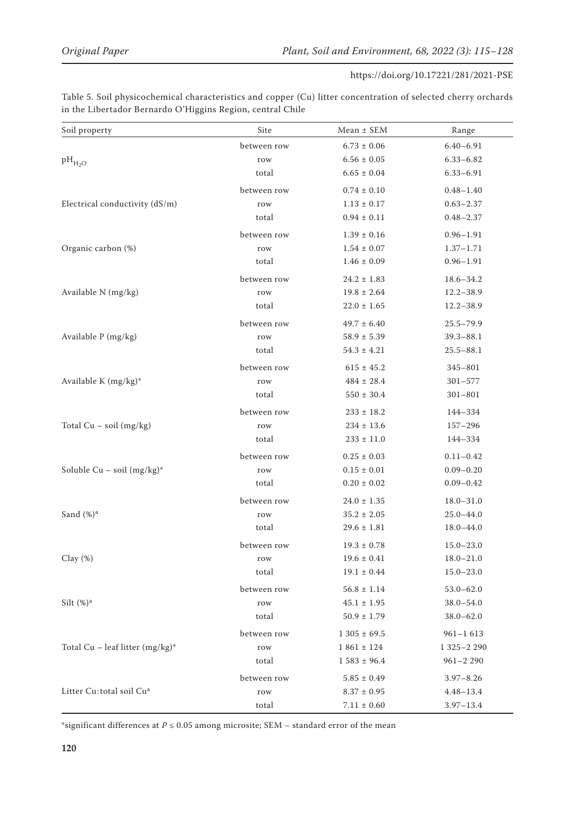| Soil property                        | Site        | $Mean \pm SEM$  | Range         |
|--------------------------------------|-------------|-----------------|---------------|
|                                      | between row | $6.73 \pm 0.06$ | $6.40 - 6.91$ |
| $pH_{H_2O}$                          | row         | $6.56 \pm 0.05$ | $6.33 - 6.82$ |
|                                      | total       | $6.65 \pm 0.04$ | $6.33 - 6.91$ |
|                                      | between row | $0.74 \pm 0.10$ | $0.48 - 1.40$ |
| Electrical conductivity (dS/m)       | row         | $1.13 \pm 0.17$ | $0.63 - 2.37$ |
|                                      | total       | $0.94 \pm 0.11$ | $0.48 - 2.37$ |
|                                      | between row | $1.39 \pm 0.16$ | $0.96 - 1.91$ |
| Organic carbon (%)                   | row         | $1.54 \pm 0.07$ | $1.37 - 1.71$ |
|                                      | total       | $1.46 \pm 0.09$ | $0.96 - 1.91$ |
|                                      | between row | $24.2 \pm 1.83$ | $18.6 - 34.2$ |
| Available N (mg/kg)                  | row         | $19.8 \pm 2.64$ | $12.2 - 38.9$ |
|                                      | total       | $22.0\pm1.65$   | $12.2 - 38.9$ |
|                                      | between row | $49.7 \pm 6.40$ | $25.5 - 79.9$ |
| Available P (mg/kg)                  | row         | $58.9 \pm 5.39$ | $39.3 - 88.1$ |
|                                      | total       | $54.3 \pm 4.21$ | $25.5 - 88.1$ |
|                                      | between row | $615 \pm 45.2$  | $345 - 801$   |
| Available K (mg/kg)*                 | row         | $484 \pm 28.4$  | $301 - 577$   |
|                                      | total       | $550 \pm 30.4$  | $301 - 801$   |
|                                      | between row | $233 \pm 18.2$  | 144-334       |
| Total $Cu - soil (mg/kg)$            | row         | $234 \pm 13.6$  | $157 - 296$   |
|                                      | total       | $233 \pm 11.0$  | 144-334       |
|                                      | between row | $0.25 \pm 0.03$ | $0.11 - 0.42$ |
| Soluble Cu - soil $(mg/kg)^*$        | row         | $0.15 \pm 0.01$ | $0.09 - 0.20$ |
|                                      | total       | $0.20\pm0.02$   | $0.09 - 0.42$ |
|                                      | between row | $24.0 \pm 1.35$ | $18.0 - 31.0$ |
| Sand $(\%)^a$                        | row         | $35.2 \pm 2.05$ | $25.0 - 44.0$ |
|                                      | total       | $29.6 \pm 1.81$ | $18.0 - 44.0$ |
|                                      | between row | $19.3 \pm 0.78$ | $15.0 - 23.0$ |
| Clay $(\%)$                          | row         | $19.6 \pm 0.41$ | $18.0 - 21.0$ |
|                                      | total       | $19.1 \pm 0.44$ | $15.0 - 23.0$ |
|                                      | between row | $56.8 \pm 1.14$ | $53.0 - 62.0$ |
| Silt $(\%)^a$                        | row         | $45.1 \pm 1.95$ | $38.0 - 54.0$ |
|                                      | total       | $50.9 \pm 1.79$ | $38.0 - 62.0$ |
|                                      | between row | $1305 \pm 69.5$ | $961 - 1613$  |
| Total Cu - leaf litter $(mg/kg)^*$   | row         | $1861 \pm 124$  | 1 325-2 290   |
|                                      | total       | $1583 \pm 96.4$ | $961 - 2290$  |
|                                      | between row | $5.85 \pm 0.49$ | $3.97 - 8.26$ |
| Litter Cu:total soil Cu <sup>a</sup> | row         | $8.37 \pm 0.95$ | $4.48 - 13.4$ |
|                                      | total       | $7.11 \pm 0.60$ | $3.97 - 13.4$ |

Table 5. Soil physicochemical characteristics and copper (Cu) litter concentration of selected cherry orchards in the Libertador Bernardo O'Higgins Region, central Chile

\*significant differences at  $P \le 0.05$  among microsite; SEM – standard error of the mean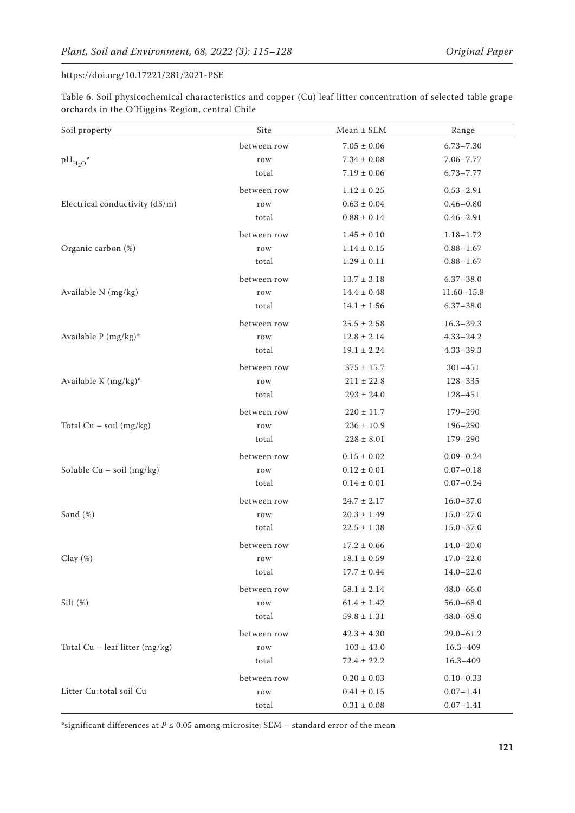| Table 6. Soil physicochemical characteristics and copper (Cu) leaf litter concentration of selected table grape |  |
|-----------------------------------------------------------------------------------------------------------------|--|
| orchards in the O'Higgins Region, central Chile                                                                 |  |

| Soil property                  | Site        | $Mean \pm SEM$      | Range          |
|--------------------------------|-------------|---------------------|----------------|
|                                | between row | $7.05 \pm 0.06$     | $6.73 - 7.30$  |
| $pH_{H_2O}^*$                  | row         | $7.34 \pm 0.08$     | $7.06 - 7.77$  |
|                                | total       | $7.19 \pm 0.06$     | $6.73 - 7.77$  |
|                                | between row | $1.12 \pm 0.25$     | $0.53 - 2.91$  |
| Electrical conductivity (dS/m) | row         | $0.63 \pm 0.04$     | $0.46 - 0.80$  |
|                                | total       | $0.88 \pm 0.14$     | $0.46 - 2.91$  |
|                                | between row | $1.45 \pm 0.10$     | $1.18 - 1.72$  |
| Organic carbon (%)             | row         | $1.14 \pm 0.15$     | $0.88 - 1.67$  |
|                                | total       | $1.29 \pm 0.11$     | $0.88 - 1.67$  |
|                                | between row | $13.7 \pm 3.18$     | $6.37 - 38.0$  |
| Available N (mg/kg)            | row         | $14.4 \pm 0.48$     | $11.60 - 15.8$ |
|                                | total       | $14.1 \pm 1.56$     | $6.37 - 38.0$  |
|                                | between row | $25.5 \pm 2.58$     | $16.3 - 39.3$  |
| Available P (mg/kg)*           | row         | $12.8 \pm 2.14$     | $4.33 - 24.2$  |
|                                | total       | $19.1 \pm 2.24$     | $4.33 - 39.3$  |
|                                | between row | $375 \pm 15.7$      | $301 - 451$    |
| Available K (mg/kg)*           | row         | $211 \pm 22.8$      | $128 - 335$    |
|                                | total       | $293 \pm 24.0$      | 128-451        |
|                                | between row | $220 \pm 11.7$      | $179 - 290$    |
| Total $Cu - soil (mg/kg)$      | row         | $236 \pm 10.9$      | $196 - 290$    |
|                                | total       | $228 \pm 8.01$      | $179 - 290$    |
|                                | between row | $0.15 \pm 0.02$     | $0.09 - 0.24$  |
| Soluble $Cu - soil (mg/kg)$    | row         | $0.12 \pm 0.01$     | $0.07 - 0.18$  |
|                                | total       | $0.14 \pm 0.01$     | $0.07 - 0.24$  |
|                                | between row | $24.7 \pm 2.17$     | $16.0 - 37.0$  |
| Sand (%)                       | row         | $20.3$ $\pm$ $1.49$ | $15.0 - 27.0$  |
|                                | total       | $22.5 \pm 1.38$     | $15.0 - 37.0$  |
|                                | between row | $17.2 \pm 0.66$     | $14.0 - 20.0$  |
| Clay $(\%)$                    | row         | $18.1\pm0.59$       | $17.0 - 22.0$  |
|                                | total       | $17.7$ $\pm$ $0.44$ | $14.0 - 22.0$  |
|                                | between row | $58.1 \pm 2.14$     | $48.0 - 66.0$  |
| Silt $(\%)$                    | row         | $61.4 \pm 1.42$     | $56.0 - 68.0$  |
|                                | total       | $59.8 \pm 1.31$     | $48.0 - 68.0$  |
|                                | between row | $42.3 \pm 4.30$     | $29.0 - 61.2$  |
| Total Cu - leaf litter (mg/kg) | row         | $103\pm43.0$        | $16.3 - 409$   |
|                                | total       | $72.4 \pm 22.2$     | $16.3 - 409$   |
|                                | between row | $0.20\pm0.03$       | $0.10 - 0.33$  |
| Litter Cu:total soil Cu        | row         | $0.41 \pm 0.15$     | $0.07 - 1.41$  |
|                                | total       | $0.31 \pm 0.08$     | $0.07 - 1.41$  |

\*significant differences at  $P \leq 0.05$  among microsite; SEM – standard error of the mean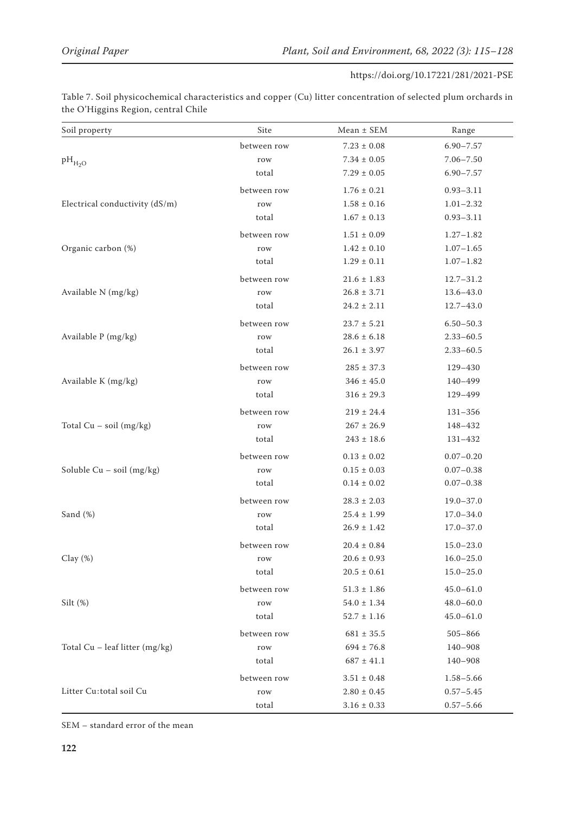Table 7. Soil physicochemical characteristics and copper (Cu) litter concentration of selected plum orchards in the O'Higgins Region, central Chile

| Soil property                    | Site        | $Mean \pm SEM$      | Range         |
|----------------------------------|-------------|---------------------|---------------|
|                                  | between row | $7.23 \pm 0.08$     | $6.90 - 7.57$ |
| $\rm{pH}_{\rm{H_{2}O}}$          | row         | $7.34 \pm 0.05$     | $7.06 - 7.50$ |
|                                  | total       | $7.29 \pm 0.05$     | $6.90 - 7.57$ |
|                                  | between row | $1.76 \pm 0.21$     | $0.93 - 3.11$ |
| Electrical conductivity (dS/m)   | row         | $1.58 \pm 0.16$     | $1.01 - 2.32$ |
|                                  | total       | $1.67 \pm 0.13$     | $0.93 - 3.11$ |
|                                  | between row | $1.51 \pm 0.09$     | $1.27 - 1.82$ |
| Organic carbon (%)               | row         | $1.42 \pm 0.10$     | $1.07 - 1.65$ |
|                                  | total       | $1.29 \pm 0.11$     | $1.07 - 1.82$ |
|                                  | between row | $21.6 \pm 1.83$     | $12.7 - 31.2$ |
| Available N (mg/kg)              | row         | $26.8 \pm 3.71$     | $13.6 - 43.0$ |
|                                  | total       | $24.2 \pm 2.11$     | $12.7 - 43.0$ |
|                                  | between row | $23.7 \pm 5.21$     | $6.50 - 50.3$ |
| Available P (mg/kg)              | row         | $28.6 \pm 6.18$     | $2.33 - 60.5$ |
|                                  | total       | $26.1 \pm 3.97$     | $2.33 - 60.5$ |
|                                  | between row | $285 \pm 37.3$      | 129-430       |
| Available K (mg/kg)              | row         | $346 \pm 45.0$      | 140-499       |
|                                  | total       | $316 \pm 29.3$      | 129-499       |
|                                  | between row | $219 \pm 24.4$      | $131 - 356$   |
| Total $Cu - soil (mg/kg)$        | row         | $267 \pm 26.9$      | 148-432       |
|                                  | total       | $243 \pm 18.6$      | 131-432       |
|                                  | between row | $0.13 \pm 0.02$     | $0.07 - 0.20$ |
| Soluble $Cu - soil (mg/kg)$      | row         | $0.15 \pm 0.03$     | $0.07 - 0.38$ |
|                                  | total       | $0.14 \pm 0.02$     | $0.07 - 0.38$ |
|                                  | between row | $28.3 \pm 2.03$     | $19.0 - 37.0$ |
| Sand $(\%)$                      | row         | $25.4 \pm 1.99$     | $17.0 - 34.0$ |
|                                  | total       | $26.9 \pm 1.42$     | $17.0 - 37.0$ |
|                                  | between row | $20.4 \pm 0.84$     | $15.0 - 23.0$ |
| Clay $(\%)$                      | row         | $20.6\pm0.93$       | $16.0 - 25.0$ |
|                                  | total       | $20.5\pm0.61$       | $15.0 - 25.0$ |
|                                  | between row | $51.3$ $\pm$ $1.86$ | $45.0 - 61.0$ |
| Silt $(\%)$                      | row         | $54.0 \pm 1.34$     | $48.0 - 60.0$ |
|                                  | total       | $52.7 \pm 1.16$     | $45.0 - 61.0$ |
|                                  | between row | $681 \pm 35.5$      | $505 - 866$   |
| Total $Cu$ – leaf litter (mg/kg) | row         | $694 \pm 76.8$      | 140-908       |
|                                  | total       | $687 \pm 41.1$      | 140-908       |
|                                  | between row | $3.51 \pm 0.48$     | $1.58 - 5.66$ |
| Litter Cu:total soil Cu          | row         | $2.80 \pm 0.45$     | $0.57 - 5.45$ |
|                                  | total       | $3.16 \pm 0.33$     | $0.57 - 5.66$ |

SEM – standard error of the mean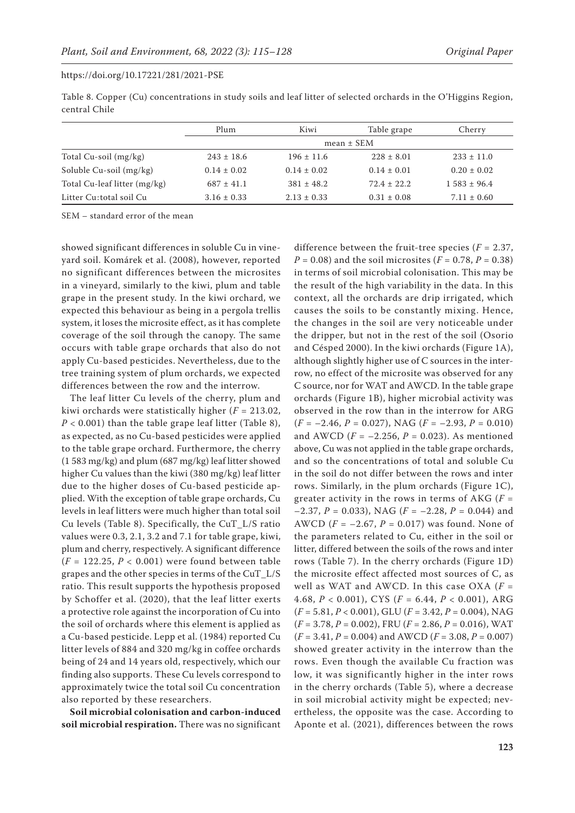|               | Table 8. Copper (Cu) concentrations in study soils and leaf litter of selected orchards in the O'Higgins Region, |  |  |
|---------------|------------------------------------------------------------------------------------------------------------------|--|--|
| central Chile |                                                                                                                  |  |  |

|                              | Plum            | Kiwi            | Table grape     | Cherry           |  |  |
|------------------------------|-----------------|-----------------|-----------------|------------------|--|--|
|                              |                 | $mean \pm SEM$  |                 |                  |  |  |
| Total Cu-soil (mg/kg)        | $243 \pm 18.6$  | $196 \pm 11.6$  | $228 \pm 8.01$  | $233 \pm 11.0$   |  |  |
| Soluble Cu-soil (mg/kg)      | $0.14 \pm 0.02$ | $0.14 \pm 0.02$ | $0.14 \pm 0.01$ | $0.20 \pm 0.02$  |  |  |
| Total Cu-leaf litter (mg/kg) | $687 \pm 41.1$  | $381 \pm 48.2$  | $72.4 \pm 22.2$ | $1.583 \pm 96.4$ |  |  |
| Litter Cu: total soil Cu     | $3.16 \pm 0.33$ | $2.13 \pm 0.33$ | $0.31 \pm 0.08$ | $7.11 \pm 0.60$  |  |  |

SEM – standard error of the mean

showed significant differences in soluble Cu in vineyard soil. Komárek et al. (2008), however, reported no significant differences between the microsites in a vineyard, similarly to the kiwi, plum and table grape in the present study. In the kiwi orchard, we expected this behaviour as being in a pergola trellis system, it loses the microsite effect, as it has complete coverage of the soil through the canopy. The same occurs with table grape orchards that also do not apply Cu-based pesticides. Nevertheless, due to the tree training system of plum orchards, we expected differences between the row and the interrow.

The leaf litter Cu levels of the cherry, plum and kiwi orchards were statistically higher (*F =* 213.02,  $P < 0.001$ ) than the table grape leaf litter (Table 8), as expected, as no Cu-based pesticides were applied to the table grape orchard. Furthermore, the cherry (1 583 mg/kg) and plum (687 mg/kg) leaf litter showed higher Cu values than the kiwi (380 mg/kg) leaf litter due to the higher doses of Cu-based pesticide applied. With the exception of table grape orchards, Cu levels in leaf litters were much higher than total soil Cu levels (Table 8). Specifically, the CuT\_L/S ratio values were 0.3, 2.1, 3.2 and 7.1 for table grape, kiwi, plum and cherry, respectively. A significant difference (*F =* 122.25, *P <* 0.001) were found between table grapes and the other species in terms of the CuT\_L/S ratio. This result supports the hypothesis proposed by Schoffer et al. (2020), that the leaf litter exerts a protective role against the incorporation of Cu into the soil of orchards where this element is applied as a Cu-based pesticide. Lepp et al. (1984) reported Cu litter levels of 884 and 320 mg/kg in coffee orchards being of 24 and 14 years old, respectively, which our finding also supports. These Cu levels correspond to approximately twice the total soil Cu concentration also reported by these researchers.

**Soil microbial colonisation and carbon-induced soil microbial respiration.** There was no significant difference between the fruit-tree species (*F =* 2.37, *P =* 0.08) and the soil microsites (*F =* 0.78, *P =* 0.38) in terms of soil microbial colonisation. This may be the result of the high variability in the data. In this context, all the orchards are drip irrigated, which causes the soils to be constantly mixing. Hence, the changes in the soil are very noticeable under the dripper, but not in the rest of the soil (Osorio and Césped 2000). In the kiwi orchards (Figure 1A), although slightly higher use of C sources in the interrow, no effect of the microsite was observed for any C source, nor for WAT and AWCD. In the table grape orchards (Figure 1B), higher microbial activity was observed in the row than in the interrow for ARG (*F =* –2.46, *P =* 0.027), NAG (*F =* –2.93, *P =* 0.010) and AWCD (*F =* –2.256, *P =* 0.023). As mentioned above, Cu was not applied in the table grape orchards, and so the concentrations of total and soluble Cu in the soil do not differ between the rows and inter rows. Similarly, in the plum orchards (Figure 1C), greater activity in the rows in terms of AKG (*F =* –2.37, *P =* 0.033), NAG (*F =* –2.28, *P =* 0.044) and AWCD (*F =* –2.67, *P =* 0.017) was found. None of the parameters related to Cu, either in the soil or litter, differed between the soils of the rows and inter rows (Table 7). In the cherry orchards (Figure 1D) the microsite effect affected most sources of C, as well as WAT and AWCD. In this case OXA (*F =* 4.68, *P* < 0.001), CYS (*F =* 6.44, *P* < 0.001), ARG (*F =* 5.81, *P* < 0.001), GLU (*F =* 3.42, *P =* 0.004), NAG (*F =* 3.78, *P =* 0.002), FRU (*F =* 2.86, *P =* 0.016), WAT (*F =* 3.41, *P =* 0.004) and AWCD (*F =* 3.08, *P =* 0.007) showed greater activity in the interrow than the rows. Even though the available Cu fraction was low, it was significantly higher in the inter rows in the cherry orchards (Table 5), where a decrease in soil microbial activity might be expected; nevertheless, the opposite was the case. According to Aponte et al. (2021), differences between the rows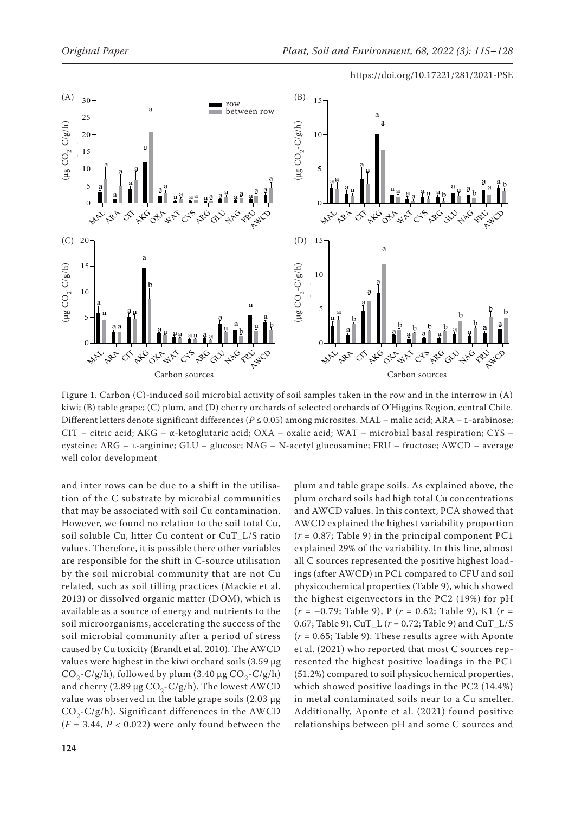



Figure 1. Carbon (C)-induced soil microbial activity of soil samples taken in the row and in the interrow in (A) kiwi; (B) table grape; (C) plum, and (D) cherry orchards of selected orchards of O'Higgins Region, central Chile. Different letters denote significant differences (*P* ≤ 0.05) among microsites. MAL – malic acid; ARA – L-arabinose; CIT – citric acid; AKG – α-ketoglutaric acid; OXA – oxalic acid; WAT – microbial basal respiration; CYS – cysteine; ARG - L-arginine; GLU - glucose; NAG - N-acetyl glucosamine; FRU - fructose; AWCD - average

and inter rows can be due to a shift in the utilisation of the C substrate by microbial communities that may be associated with soil Cu contamination. However, we found no relation to the soil total Cu, soil soluble Cu, litter Cu content or CuT\_L/S ratio values. Therefore, it is possible there other variables are responsible for the shift in C-source utilisation by the soil microbial community that are not Cu related, such as soil tilling practices (Mackie et al. 2013) or dissolved organic matter (DOM), which is available as a source of energy and nutrients to the soil microorganisms, accelerating the success of the soil microbial community after a period of stress caused by Cu toxicity (Brandt et al. 2010). The AWCD values were highest in the kiwi orchard soils (3.59 μg  $CO<sub>2</sub>-C/g/h$ ), followed by plum (3.40 μg  $CO<sub>2</sub>-C/g/h$ ) and cherry (2.89 μg  $CO<sub>2</sub>-C/g/h$ ). The lowest AWCD value was observed in the table grape soils (2.03 μg  $CO<sub>2</sub>-C/g/h$ ). Significant differences in the AWCD  $(F = 3.44, P < 0.022)$  were only found between the plum and table grape soils. As explained above, the plum orchard soils had high total Cu concentrations and AWCD values. In this context, PCA showed that AWCD explained the highest variability proportion (*r* = 0.87; Table 9) in the principal component PC1 explained 29% of the variability. In this line, almost all C sources represented the positive highest loadings (after AWCD) in PC1 compared to CFU and soil physicochemical properties (Table 9), which showed the highest eigenvectors in the PC2 (19%) for pH (*r* = –0.79; Table 9), P (*r* = 0.62; Table 9), K1 (*r* = 0.67; Table 9), CuT\_L (*r* = 0.72; Table 9) and CuT\_L/S (*r* = 0.65; Table 9). These results agree with Aponte et al. (2021) who reported that most C sources represented the highest positive loadings in the PC1 (51.2%) compared to soil physicochemical properties, which showed positive loadings in the PC2 (14.4%) in metal contaminated soils near to a Cu smelter. Additionally, Aponte et al. (2021) found positive relationships between pH and some C sources and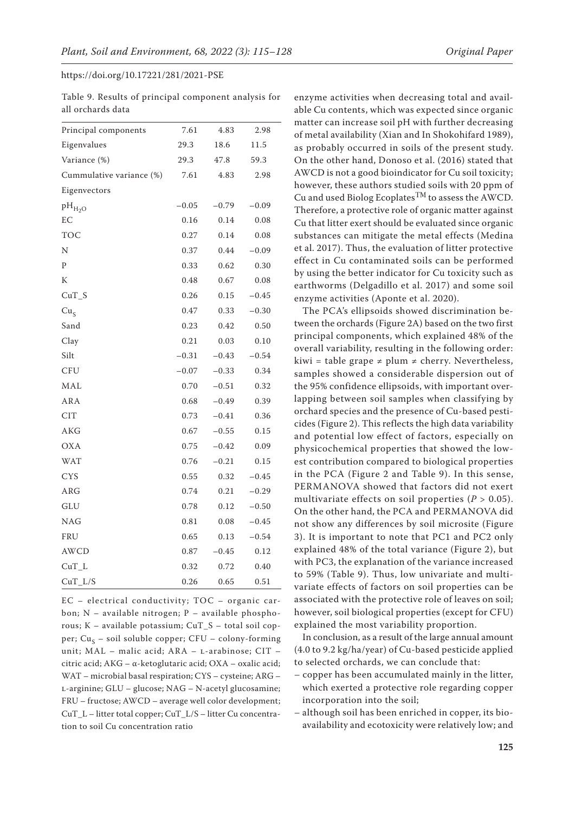|                   |  |  | Table 9. Results of principal component analysis for |  |
|-------------------|--|--|------------------------------------------------------|--|
| all orchards data |  |  |                                                      |  |

| Principal components     | 7.61    | 4.83    | 2.98    |
|--------------------------|---------|---------|---------|
| Eigenvalues              | 29.3    | 18.6    | 11.5    |
| Variance (%)             | 29.3    | 47.8    | 59.3    |
| Cummulative variance (%) | 7.61    | 4.83    | 2.98    |
| Eigenvectors             |         |         |         |
| $pH_{H_2O}$              | $-0.05$ | $-0.79$ | $-0.09$ |
| EC                       | 0.16    | 0.14    | 0.08    |
| <b>TOC</b>               | 0.27    | 0.14    | 0.08    |
| N                        | 0.37    | 0.44    | $-0.09$ |
| P                        | 0.33    | 0.62    | 0.30    |
| К                        | 0.48    | 0.67    | 0.08    |
| $CuT_S$                  | 0.26    | 0.15    | $-0.45$ |
| Cu <sub>S</sub>          | 0.47    | 0.33    | $-0.30$ |
| Sand                     | 0.23    | 0.42    | 0.50    |
| Clay                     | 0.21    | 0.03    | 0.10    |
| Silt                     | $-0.31$ | $-0.43$ | $-0.54$ |
| <b>CFU</b>               | $-0.07$ | $-0.33$ | 0.34    |
| MAL                      | 0.70    | $-0.51$ | 0.32    |
| ARA                      | 0.68    | $-0.49$ | 0.39    |
| <b>CIT</b>               | 0.73    | $-0.41$ | 0.36    |
| AKG                      | 0.67    | $-0.55$ | 0.15    |
| <b>OXA</b>               | 0.75    | $-0.42$ | 0.09    |
| <b>WAT</b>               | 0.76    | $-0.21$ | 0.15    |
| <b>CYS</b>               | 0.55    | 0.32    | $-0.45$ |
| ARG                      | 0.74    | 0.21    | $-0.29$ |
| GLU                      | 0.78    | 0.12    | $-0.50$ |
| <b>NAG</b>               | 0.81    | 0.08    | $-0.45$ |
| FRU                      | 0.65    | 0.13    | $-0.54$ |
| <b>AWCD</b>              | 0.87    | $-0.45$ | 0.12    |
| $CuT_L$                  | 0.32    | 0.72    | 0.40    |
| $CuT_L/S$                | 0.26    | 0.65    | 0.51    |

EC – electrical conductivity; TOC – organic carbon; N – available nitrogen; P – available phosphorous; K – available potassium; CuT\_S – total soil copper; Cu<sub>s</sub> – soil soluble copper; CFU – colony-forming unit; MAL - malic acid; ARA - L-arabinose; CIT citric acid; AKG – α-ketoglutaric acid; OXA – oxalic acid; WAT – microbial basal respiration; CYS – cysteine; ARG – l-arginine; GLU – glucose; NAG – N-acetyl glucosamine; FRU – fructose; AWCD – average well color development; CuT\_L – litter total copper; CuT\_L/S – litter Cu concentration to soil Cu concentration ratio

enzyme activities when decreasing total and available Cu contents, which was expected since organic matter can increase soil pH with further decreasing of metal availability (Xian and In Shokohifard 1989), as probably occurred in soils of the present study. On the other hand, Donoso et al. (2016) stated that AWCD is not a good bioindicator for Cu soil toxicity; however, these authors studied soils with 20 ppm of Cu and used Biolog Ecoplates<sup>TM</sup> to assess the AWCD. Therefore, a protective role of organic matter against Cu that litter exert should be evaluated since organic substances can mitigate the metal effects (Medina et al. 2017). Thus, the evaluation of litter protective effect in Cu contaminated soils can be performed by using the better indicator for Cu toxicity such as earthworms (Delgadillo et al. 2017) and some soil enzyme activities (Aponte et al. 2020).

The PCA's ellipsoids showed discrimination between the orchards (Figure 2A) based on the two first principal components, which explained 48% of the overall variability, resulting in the following order: kiwi = table grape ≠ plum ≠ cherry. Nevertheless, samples showed a considerable dispersion out of the 95% confidence ellipsoids, with important overlapping between soil samples when classifying by orchard species and the presence of Cu-based pesticides (Figure 2). This reflects the high data variability and potential low effect of factors, especially on physicochemical properties that showed the lowest contribution compared to biological properties in the PCA (Figure 2 and Table 9). In this sense, PERMANOVA showed that factors did not exert multivariate effects on soil properties  $(P > 0.05)$ . On the other hand, the PCA and PERMANOVA did not show any differences by soil microsite (Figure 3). It is important to note that PC1 and PC2 only explained 48% of the total variance (Figure 2), but with PC3, the explanation of the variance increased to 59% (Table 9). Thus, low univariate and multivariate effects of factors on soil properties can be associated with the protective role of leaves on soil; however, soil biological properties (except for CFU) explained the most variability proportion.

In conclusion, as a result of the large annual amount (4.0 to 9.2 kg/ha/year) of Cu-based pesticide applied to selected orchards, we can conclude that:

- copper has been accumulated mainly in the litter, which exerted a protective role regarding copper incorporation into the soil;
- although soil has been enriched in copper, its bioavailability and ecotoxicity were relatively low; and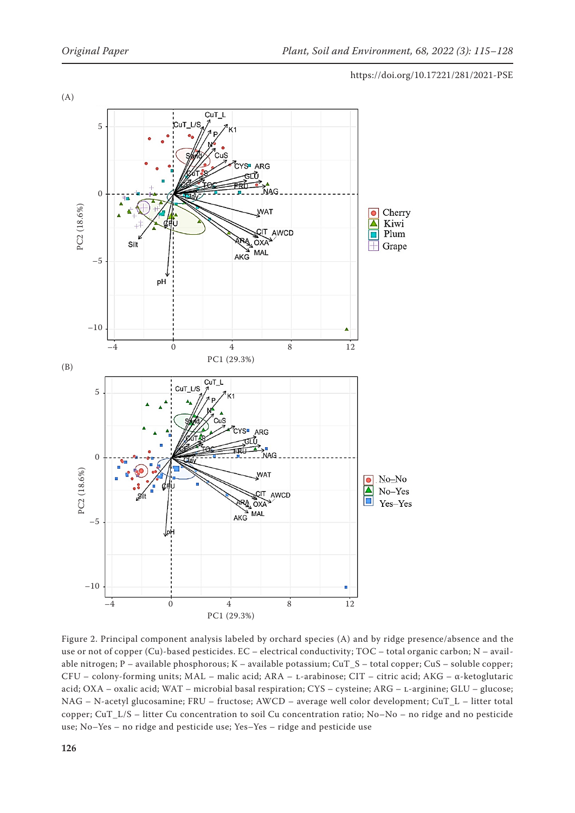

Figure 2. Principal component analysis labeled by orchard species (A) and by ridge presence/absence and the use or not of copper (Cu)-based pesticides. EC – electrical conductivity; TOC – total organic carbon; N – available nitrogen; P – available phosphorous; K – available potassium; CuT\_S – total copper; CuS – soluble copper; CFU – colony-forming units; MAL – malic acid; ARA – l-arabinose; CIT – citric acid; AKG – α-ketoglutaric acid; OXA – oxalic acid; WAT – microbial basal respiration; CYS – cysteine; ARG – l-arginine; GLU – glucose; NAG – N-acetyl glucosamine; FRU – fructose; AWCD – average well color development; CuT\_L – litter total copper; CuT\_L/S – litter Cu concentration to soil Cu concentration ratio; No–No – no ridge and no pesticide use; No–Yes – no ridge and pesticide use; Yes–Yes – ridge and pesticide use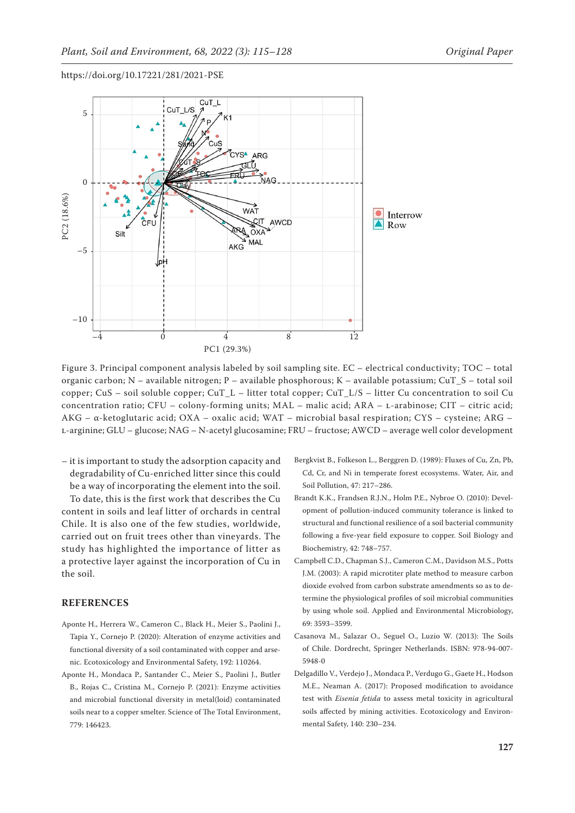

Figure 3. Principal component analysis labeled by soil sampling site. EC – electrical conductivity; TOC – total organic carbon; N – available nitrogen; P – available phosphorous; K – available potassium; CuT\_S – total soil copper; CuS – soil soluble copper; CuT\_L – litter total copper; CuT\_L/S – litter Cu concentration to soil Cu concentration ratio; CFU – colony-forming units; MAL – malic acid; ARA – L-arabinose; CIT – citric acid; AKG – α-ketoglutaric acid; OXA – oxalic acid; WAT – microbial basal respiration; CYS – cysteine; ARG – l-arginine; GLU – glucose; NAG – N-acetyl glucosamine; FRU – fructose; AWCD – average well color development

– it is important to study the adsorption capacity and degradability of Cu-enriched litter since this could be a way of incorporating the element into the soil.

To date, this is the first work that describes the Cu content in soils and leaf litter of orchards in central Chile. It is also one of the few studies, worldwide, carried out on fruit trees other than vineyards. The study has highlighted the importance of litter as a protective layer against the incorporation of Cu in the soil.

### **REFERENCES**

- Aponte H., Herrera W., Cameron C., Black H., Meier S., Paolini J., Tapia Y., Cornejo P. (2020): Alteration of enzyme activities and functional diversity of a soil contaminated with copper and arsenic. Ecotoxicology and Environmental Safety, 192: 110264.
- Aponte H., Mondaca P., Santander C., Meier S., Paolini J., Butler B., Rojas C., Cristina M., Cornejo P. (2021): Enzyme activities and microbial functional diversity in metal(loid) contaminated soils near to a copper smelter. Science of The Total Environment, 779: 146423.
- Bergkvist B., Folkeson L., Berggren D. (1989): Fluxes of Cu, Zn, Pb, Cd, Cr, and Ni in temperate forest ecosystems. Water, Air, and Soil Pollution, 47: 217–286.
- Brandt K.K., Frandsen R.J.N., Holm P.E., Nybroe O. (2010): Development of pollution-induced community tolerance is linked to structural and functional resilience of a soil bacterial community following a five-year field exposure to copper. Soil Biology and Biochemistry, 42: 748–757.
- Campbell C.D., Chapman S.J., Cameron C.M., Davidson M.S., Potts J.M. (2003): A rapid microtiter plate method to measure carbon dioxide evolved from carbon substrate amendments so as to determine the physiological profiles of soil microbial communities by using whole soil. Applied and Environmental Microbiology, 69: 3593–3599.
- Casanova M., Salazar O., Seguel O., Luzio W. (2013): The Soils of Chile. Dordrecht, Springer Netherlands. ISBN: 978-94-007- 5948-0
- Delgadillo V., Verdejo J., Mondaca P., Verdugo G., Gaete H., Hodson M.E., Neaman A. (2017): Proposed modification to avoidance test with *Eisenia fetida* to assess metal toxicity in agricultural soils affected by mining activities. Ecotoxicology and Environmental Safety, 140: 230–234.